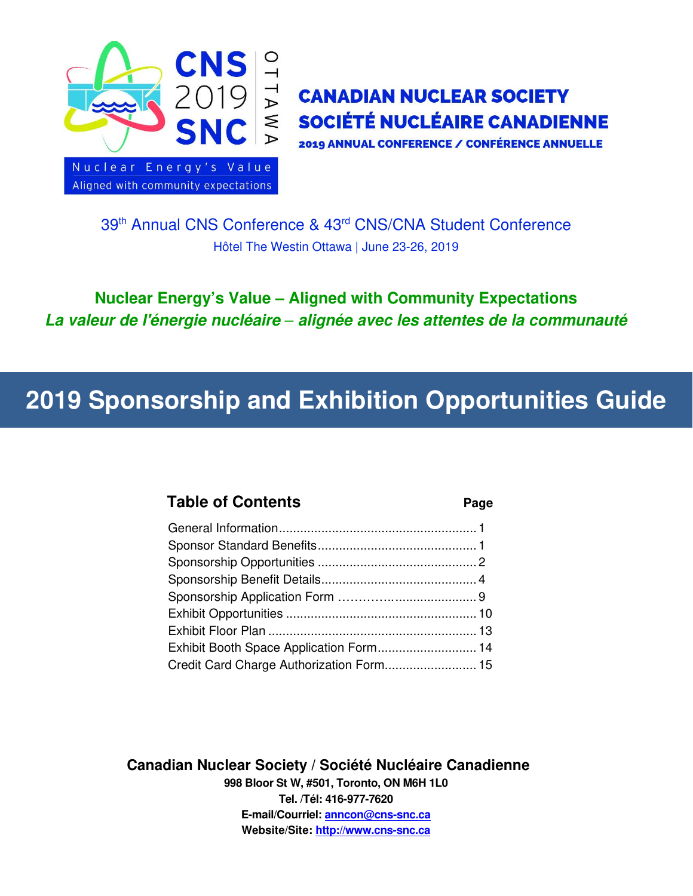

# $\overrightarrow{p}$  CANADIAN NUCLEAR SOCIETY **≤ SOCIÉTÉ NUCLÉAIRE CANADIENNE**

2019 ANNUAL CONFERENCE / CONFÉRENCE ANNUELLE

39th Annual CNS Conference & 43rd CNS/CNA Student Conference Hôtel The Westin Ottawa | June 23-26, 2019

Nuclear Energy's Value – Aligned with Community Expectations *La valeur de l'énergie nucléaire* – *alignée avec les attentes de la communauté*

# 2019 Sponsorship and Exhibition Opportunities Guide

### Table of Contents **Page**

| Credit Card Charge Authorization Form 15 |  |
|------------------------------------------|--|

Canadian Nuclear Society / Société Nucléaire Canadienne 998 Bloor St W, #501, Toronto, ON M6H 1L0 Tel. /Tél: 416-977-7620 E-mail/Courriel: [anncon@cns-snc.ca](mailto:anncon@cns-snc.ca) Website/Site: [http://www.cns-snc.ca](http://www.cns-snc.ca/)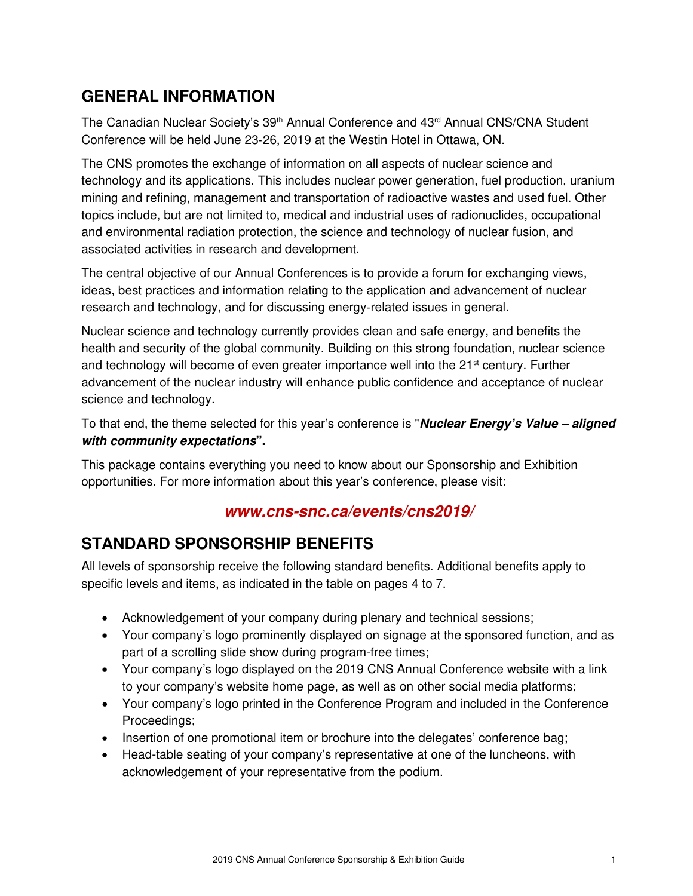### GENERAL INFORMATION

The Canadian Nuclear Society's 39<sup>th</sup> Annual Conference and 43<sup>rd</sup> Annual CNS/CNA Student Conference will be held June 23‐26, 2019 at the Westin Hotel in Ottawa, ON.

The CNS promotes the exchange of information on all aspects of nuclear science and technology and its applications. This includes nuclear power generation, fuel production, uranium mining and refining, management and transportation of radioactive wastes and used fuel. Other topics include, but are not limited to, medical and industrial uses of radionuclides, occupational and environmental radiation protection, the science and technology of nuclear fusion, and associated activities in research and development.

The central objective of our Annual Conferences is to provide a forum for exchanging views, ideas, best practices and information relating to the application and advancement of nuclear research and technology, and for discussing energy‐related issues in general.

Nuclear science and technology currently provides clean and safe energy, and benefits the health and security of the global community. Building on this strong foundation, nuclear science and technology will become of even greater importance well into the  $21<sup>st</sup>$  century. Further advancement of the nuclear industry will enhance public confidence and acceptance of nuclear science and technology.

To that end, the theme selected for this year's conference is "*Nuclear Energy's Value – aligned with community expectations*".

This package contains everything you need to know about our Sponsorship and Exhibition opportunities. For more information about this year's conference, please visit:

### *www.cns-snc.ca/events/cns2019/*

### STANDARD SPONSORSHIP BENEFITS

All levels of sponsorship receive the following standard benefits. Additional benefits apply to specific levels and items, as indicated in the table on pages 4 to 7.

- Acknowledgement of your company during plenary and technical sessions;
- Your company's logo prominently displayed on signage at the sponsored function, and as part of a scrolling slide show during program-free times;
- Your company's logo displayed on the 2019 CNS Annual Conference website with a link to your company's website home page, as well as on other social media platforms;
- Your company's logo printed in the Conference Program and included in the Conference Proceedings;
- Insertion of one promotional item or brochure into the delegates' conference bag;
- Head-table seating of your company's representative at one of the luncheons, with acknowledgement of your representative from the podium.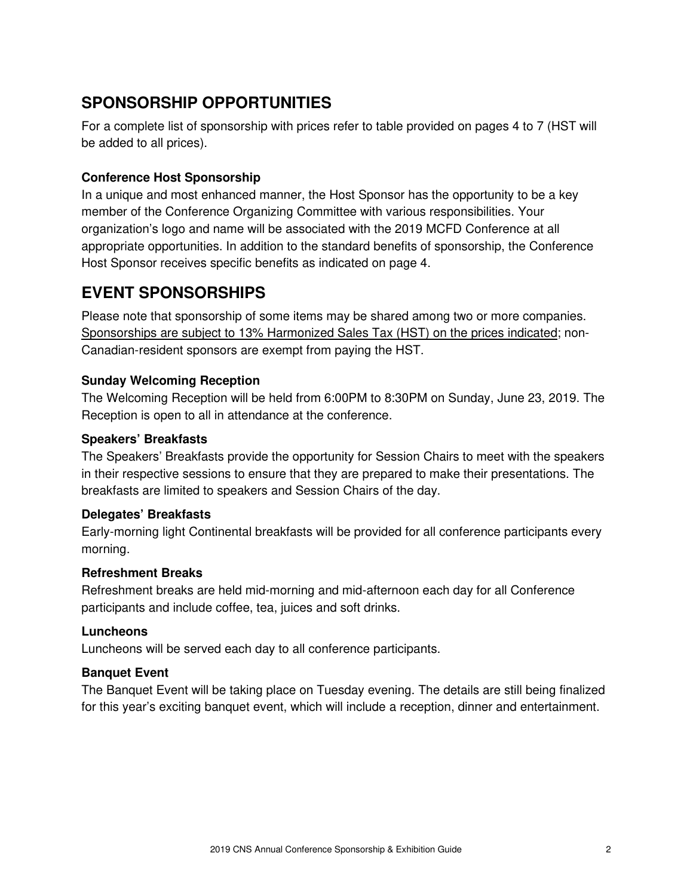### SPONSORSHIP OPPORTUNITIES

For a complete list of sponsorship with prices refer to table provided on pages 4 to 7 (HST will be added to all prices).

### Conference Host Sponsorship

In a unique and most enhanced manner, the Host Sponsor has the opportunity to be a key member of the Conference Organizing Committee with various responsibilities. Your organization's logo and name will be associated with the 2019 MCFD Conference at all appropriate opportunities. In addition to the standard benefits of sponsorship, the Conference Host Sponsor receives specific benefits as indicated on page 4.

# EVENT SPONSORSHIPS

Please note that sponsorship of some items may be shared among two or more companies. Sponsorships are subject to 13% Harmonized Sales Tax (HST) on the prices indicated; non-Canadian-resident sponsors are exempt from paying the HST.

### Sunday Welcoming Reception

The Welcoming Reception will be held from 6:00PM to 8:30PM on Sunday, June 23, 2019. The Reception is open to all in attendance at the conference.

### Speakers' Breakfasts

The Speakers' Breakfasts provide the opportunity for Session Chairs to meet with the speakers in their respective sessions to ensure that they are prepared to make their presentations. The breakfasts are limited to speakers and Session Chairs of the day.

### Delegates' Breakfasts

Early-morning light Continental breakfasts will be provided for all conference participants every morning.

### Refreshment Breaks

Refreshment breaks are held mid-morning and mid-afternoon each day for all Conference participants and include coffee, tea, juices and soft drinks.

### **Luncheons**

Luncheons will be served each day to all conference participants.

### Banquet Event

The Banquet Event will be taking place on Tuesday evening. The details are still being finalized for this year's exciting banquet event, which will include a reception, dinner and entertainment.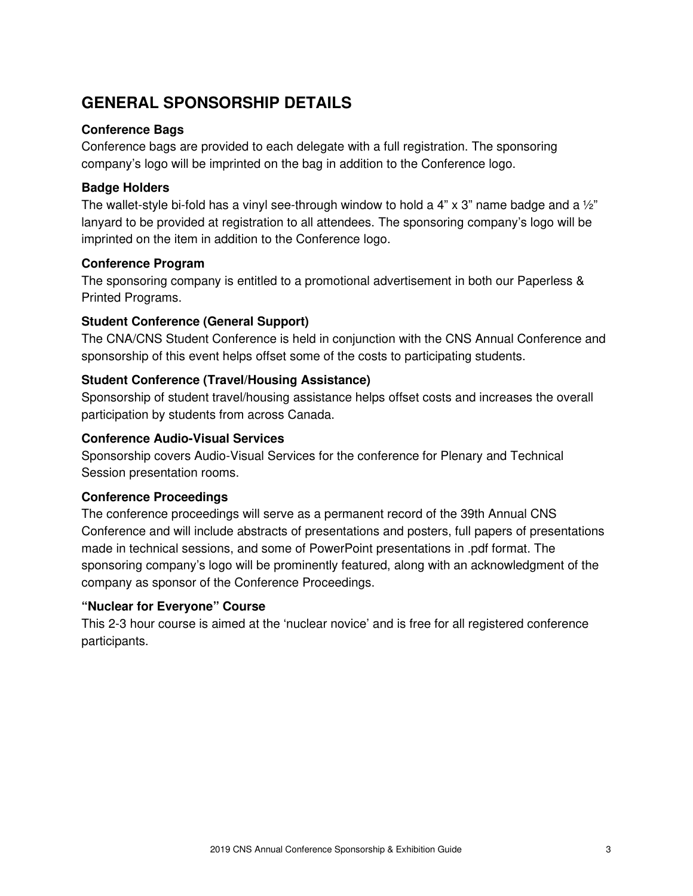### GENERAL SPONSORSHIP DETAILS

### Conference Bags

Conference bags are provided to each delegate with a full registration. The sponsoring company's logo will be imprinted on the bag in addition to the Conference logo.

### Badge Holders

The wallet-style bi-fold has a vinyl see-through window to hold a 4" x 3" name badge and a  $\frac{1}{2}$ " lanyard to be provided at registration to all attendees. The sponsoring company's logo will be imprinted on the item in addition to the Conference logo.

### Conference Program

The sponsoring company is entitled to a promotional advertisement in both our Paperless & Printed Programs.

### Student Conference (General Support)

The CNA/CNS Student Conference is held in conjunction with the CNS Annual Conference and sponsorship of this event helps offset some of the costs to participating students.

### Student Conference (Travel/Housing Assistance)

Sponsorship of student travel/housing assistance helps offset costs and increases the overall participation by students from across Canada.

### Conference Audio-Visual Services

Sponsorship covers Audio-Visual Services for the conference for Plenary and Technical Session presentation rooms.

### Conference Proceedings

The conference proceedings will serve as a permanent record of the 39th Annual CNS Conference and will include abstracts of presentations and posters, full papers of presentations made in technical sessions, and some of PowerPoint presentations in .pdf format. The sponsoring company's logo will be prominently featured, along with an acknowledgment of the company as sponsor of the Conference Proceedings.

#### "Nuclear for Everyone" Course

This 2-3 hour course is aimed at the 'nuclear novice' and is free for all registered conference participants.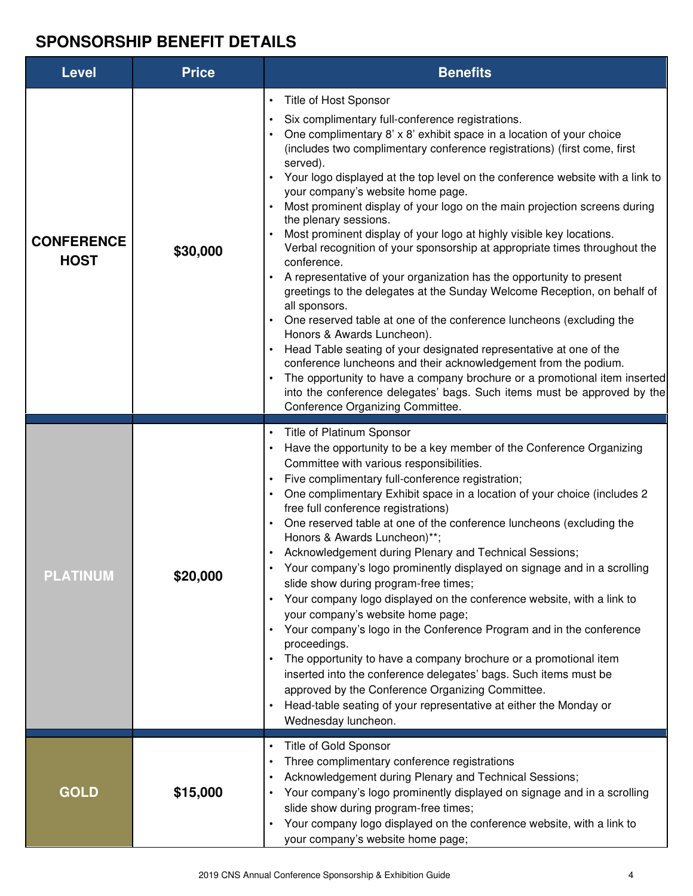# SPONSORSHIP BENEFIT DETAILS

| <b>Level</b>                     | <b>Price</b> | <b>Benefits</b>                                                                                                                                                                                                                                                                                                                                                                                                                                                                                                                                                                                                                                                                                                                                                                                                                                                                                                                                                                                                                                                                                                                                                                                                                                                         |  |
|----------------------------------|--------------|-------------------------------------------------------------------------------------------------------------------------------------------------------------------------------------------------------------------------------------------------------------------------------------------------------------------------------------------------------------------------------------------------------------------------------------------------------------------------------------------------------------------------------------------------------------------------------------------------------------------------------------------------------------------------------------------------------------------------------------------------------------------------------------------------------------------------------------------------------------------------------------------------------------------------------------------------------------------------------------------------------------------------------------------------------------------------------------------------------------------------------------------------------------------------------------------------------------------------------------------------------------------------|--|
| <b>CONFERENCE</b><br><b>HOST</b> | \$30,000     | Title of Host Sponsor<br>$\bullet$<br>Six complimentary full-conference registrations.<br>One complimentary 8' x 8' exhibit space in a location of your choice<br>(includes two complimentary conference registrations) (first come, first<br>served).<br>Your logo displayed at the top level on the conference website with a link to<br>your company's website home page.<br>Most prominent display of your logo on the main projection screens during<br>the plenary sessions.<br>Most prominent display of your logo at highly visible key locations.<br>Verbal recognition of your sponsorship at appropriate times throughout the<br>conference.<br>A representative of your organization has the opportunity to present<br>greetings to the delegates at the Sunday Welcome Reception, on behalf of<br>all sponsors.<br>One reserved table at one of the conference luncheons (excluding the<br>Honors & Awards Luncheon).<br>Head Table seating of your designated representative at one of the<br>conference luncheons and their acknowledgement from the podium.<br>The opportunity to have a company brochure or a promotional item inserted<br>into the conference delegates' bags. Such items must be approved by the<br>Conference Organizing Committee. |  |
| <b>PLATINUM</b>                  | \$20,000     | Title of Platinum Sponsor<br>Have the opportunity to be a key member of the Conference Organizing<br>Committee with various responsibilities.<br>Five complimentary full-conference registration;<br>$\bullet$<br>One complimentary Exhibit space in a location of your choice (includes 2<br>free full conference registrations)<br>One reserved table at one of the conference luncheons (excluding the<br>Honors & Awards Luncheon)**;<br>Acknowledgement during Plenary and Technical Sessions;<br>$\bullet$<br>Your company's logo prominently displayed on signage and in a scrolling<br>slide show during program-free times;<br>Your company logo displayed on the conference website, with a link to<br>$\bullet$<br>your company's website home page;<br>Your company's logo in the Conference Program and in the conference<br>$\bullet$<br>proceedings.<br>The opportunity to have a company brochure or a promotional item<br>inserted into the conference delegates' bags. Such items must be<br>approved by the Conference Organizing Committee.<br>Head-table seating of your representative at either the Monday or<br>Wednesday luncheon.                                                                                                             |  |
| <b>GOLD</b>                      | \$15,000     | Title of Gold Sponsor<br>$\bullet$<br>Three complimentary conference registrations<br>٠<br>Acknowledgement during Plenary and Technical Sessions;<br>$\bullet$<br>Your company's logo prominently displayed on signage and in a scrolling<br>slide show during program-free times;<br>Your company logo displayed on the conference website, with a link to<br>$\bullet$<br>your company's website home page;                                                                                                                                                                                                                                                                                                                                                                                                                                                                                                                                                                                                                                                                                                                                                                                                                                                           |  |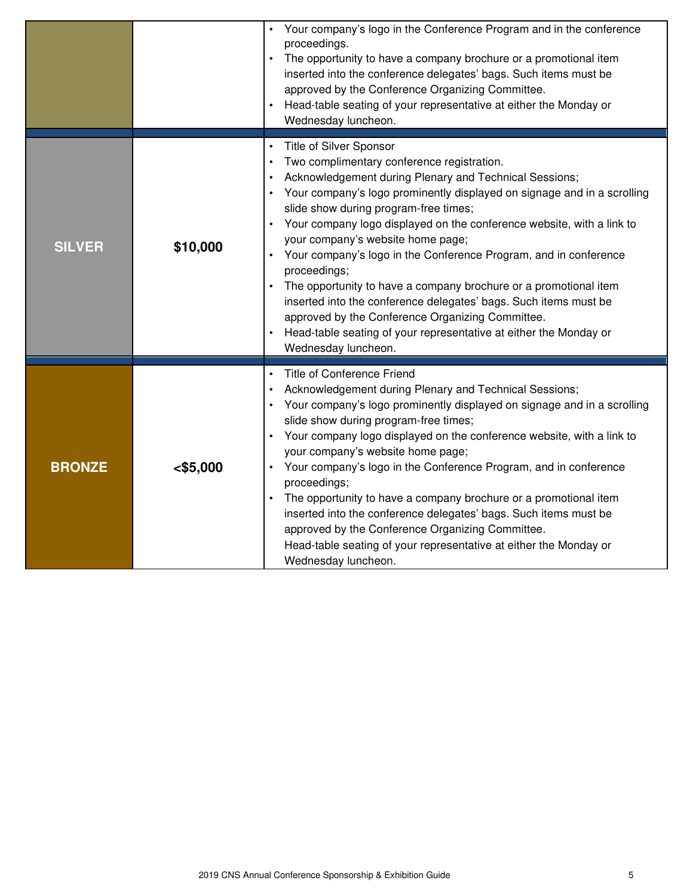|               |           | Your company's logo in the Conference Program and in the conference<br>proceedings.<br>The opportunity to have a company brochure or a promotional item<br>inserted into the conference delegates' bags. Such items must be<br>approved by the Conference Organizing Committee.<br>Head-table seating of your representative at either the Monday or<br>Wednesday luncheon.                                                                                                                                                                                                                                                                                                                                                                                |
|---------------|-----------|------------------------------------------------------------------------------------------------------------------------------------------------------------------------------------------------------------------------------------------------------------------------------------------------------------------------------------------------------------------------------------------------------------------------------------------------------------------------------------------------------------------------------------------------------------------------------------------------------------------------------------------------------------------------------------------------------------------------------------------------------------|
| <b>SILVER</b> | \$10,000  | Title of Silver Sponsor<br>$\bullet$<br>Two complimentary conference registration.<br>Acknowledgement during Plenary and Technical Sessions;<br>Your company's logo prominently displayed on signage and in a scrolling<br>slide show during program-free times;<br>Your company logo displayed on the conference website, with a link to<br>your company's website home page;<br>Your company's logo in the Conference Program, and in conference<br>proceedings;<br>The opportunity to have a company brochure or a promotional item<br>inserted into the conference delegates' bags. Such items must be<br>approved by the Conference Organizing Committee.<br>Head-table seating of your representative at either the Monday or<br>Wednesday luncheon. |
| <b>BRONZE</b> | < \$5,000 | <b>Title of Conference Friend</b><br>Acknowledgement during Plenary and Technical Sessions;<br>Your company's logo prominently displayed on signage and in a scrolling<br>slide show during program-free times;<br>Your company logo displayed on the conference website, with a link to<br>your company's website home page;<br>Your company's logo in the Conference Program, and in conference<br>proceedings;<br>The opportunity to have a company brochure or a promotional item<br>inserted into the conference delegates' bags. Such items must be<br>approved by the Conference Organizing Committee.<br>Head-table seating of your representative at either the Monday or<br>Wednesday luncheon.                                                  |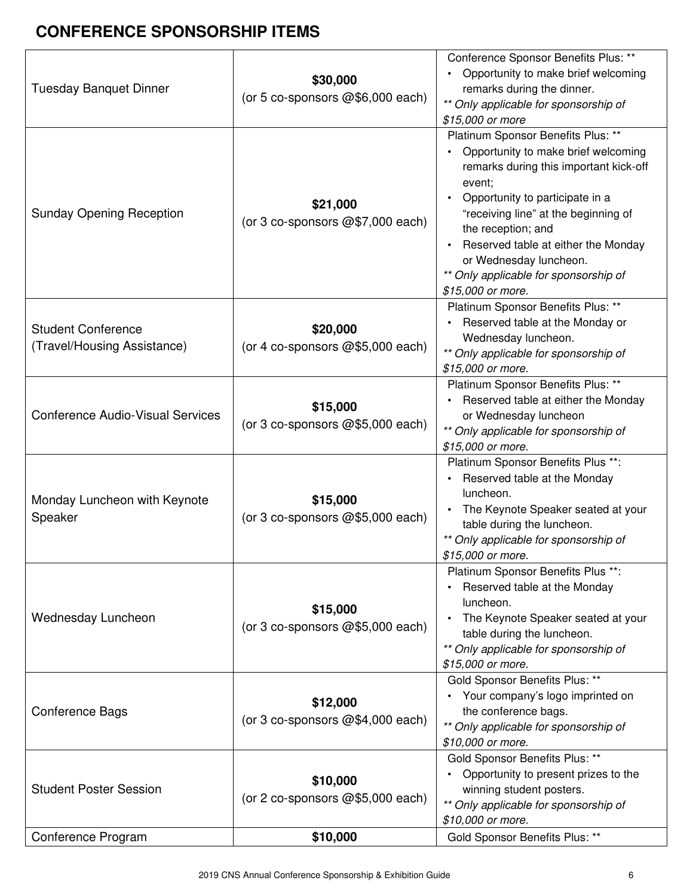# CONFERENCE SPONSORSHIP ITEMS

| Conference Program                                       | \$10,000                                     | \$10,000 or more.<br>Gold Sponsor Benefits Plus: **                                                                                                                                                                                                                                                                                                           |
|----------------------------------------------------------|----------------------------------------------|---------------------------------------------------------------------------------------------------------------------------------------------------------------------------------------------------------------------------------------------------------------------------------------------------------------------------------------------------------------|
| <b>Student Poster Session</b>                            | \$10,000<br>(or 2 co-sponsors @\$5,000 each) | Opportunity to present prizes to the<br>winning student posters.<br>** Only applicable for sponsorship of                                                                                                                                                                                                                                                     |
| <b>Conference Bags</b>                                   | \$12,000<br>(or 3 co-sponsors @\$4,000 each) | Gold Sponsor Benefits Plus: **<br>Your company's logo imprinted on<br>the conference bags.<br>** Only applicable for sponsorship of<br>\$10,000 or more.<br>Gold Sponsor Benefits Plus: **                                                                                                                                                                    |
| Wednesday Luncheon                                       | \$15,000<br>(or 3 co-sponsors @\$5,000 each) | Platinum Sponsor Benefits Plus **:<br>Reserved table at the Monday<br>luncheon.<br>The Keynote Speaker seated at your<br>table during the luncheon.<br>** Only applicable for sponsorship of<br>\$15,000 or more.                                                                                                                                             |
| Monday Luncheon with Keynote<br>Speaker                  | \$15,000<br>(or 3 co-sponsors @\$5,000 each) | Platinum Sponsor Benefits Plus **:<br>Reserved table at the Monday<br>luncheon.<br>The Keynote Speaker seated at your<br>table during the luncheon.<br>** Only applicable for sponsorship of<br>\$15,000 or more.                                                                                                                                             |
| <b>Conference Audio-Visual Services</b>                  | \$15,000<br>(or 3 co-sponsors @\$5,000 each) | Platinum Sponsor Benefits Plus: **<br>Reserved table at either the Monday<br>or Wednesday luncheon<br>** Only applicable for sponsorship of<br>\$15,000 or more.                                                                                                                                                                                              |
| <b>Student Conference</b><br>(Travel/Housing Assistance) | \$20,000<br>(or 4 co-sponsors @\$5,000 each) | Platinum Sponsor Benefits Plus: **<br>Reserved table at the Monday or<br>Wednesday luncheon.<br>** Only applicable for sponsorship of<br>\$15,000 or more.                                                                                                                                                                                                    |
| <b>Sunday Opening Reception</b>                          | \$21,000<br>(or 3 co-sponsors @\$7,000 each) | Platinum Sponsor Benefits Plus: **<br>Opportunity to make brief welcoming<br>remarks during this important kick-off<br>event;<br>Opportunity to participate in a<br>"receiving line" at the beginning of<br>the reception; and<br>Reserved table at either the Monday<br>or Wednesday luncheon.<br>** Only applicable for sponsorship of<br>\$15,000 or more. |
| <b>Tuesday Banquet Dinner</b>                            | \$30,000<br>(or 5 co-sponsors @\$6,000 each) | Conference Sponsor Benefits Plus: **<br>Opportunity to make brief welcoming<br>$\bullet$<br>remarks during the dinner.<br>** Only applicable for sponsorship of<br>\$15,000 or more                                                                                                                                                                           |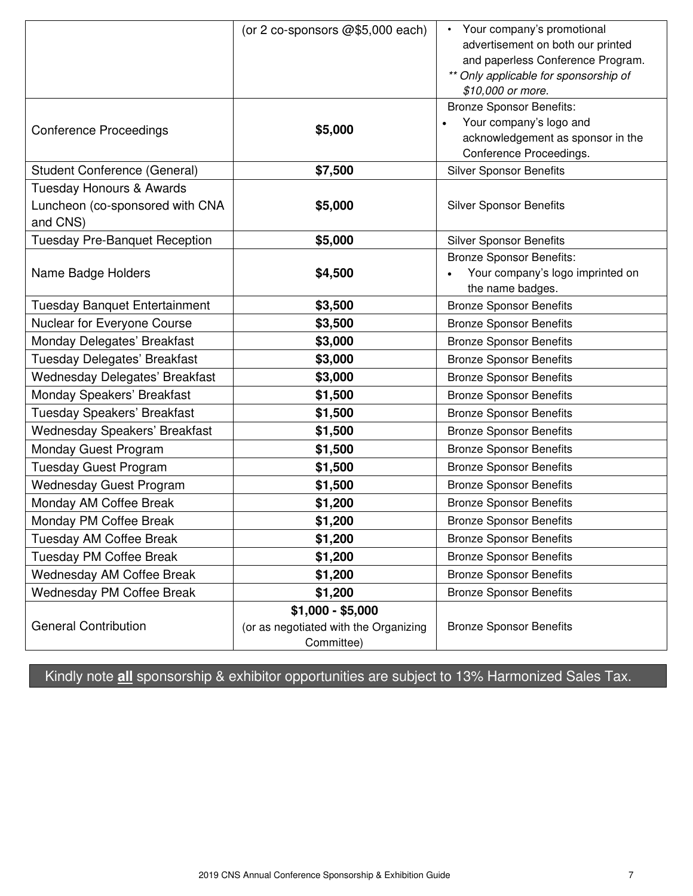|                                      | (or 2 co-sponsors @\$5,000 each)      | Your company's promotional            |
|--------------------------------------|---------------------------------------|---------------------------------------|
|                                      |                                       | advertisement on both our printed     |
|                                      |                                       | and paperless Conference Program.     |
|                                      |                                       | ** Only applicable for sponsorship of |
|                                      |                                       | \$10,000 or more.                     |
|                                      |                                       | <b>Bronze Sponsor Benefits:</b>       |
| <b>Conference Proceedings</b>        | \$5,000                               | Your company's logo and               |
|                                      |                                       | acknowledgement as sponsor in the     |
|                                      |                                       | Conference Proceedings.               |
| Student Conference (General)         | \$7,500                               | <b>Silver Sponsor Benefits</b>        |
| <b>Tuesday Honours &amp; Awards</b>  |                                       |                                       |
| Luncheon (co-sponsored with CNA      | \$5,000                               | <b>Silver Sponsor Benefits</b>        |
| and CNS)                             |                                       |                                       |
| <b>Tuesday Pre-Banquet Reception</b> | \$5,000                               | <b>Silver Sponsor Benefits</b>        |
|                                      |                                       | <b>Bronze Sponsor Benefits:</b>       |
| Name Badge Holders                   | \$4,500                               | Your company's logo imprinted on      |
|                                      |                                       | the name badges.                      |
| <b>Tuesday Banquet Entertainment</b> | \$3,500                               | <b>Bronze Sponsor Benefits</b>        |
| Nuclear for Everyone Course          | \$3,500                               | <b>Bronze Sponsor Benefits</b>        |
| Monday Delegates' Breakfast          | \$3,000                               | <b>Bronze Sponsor Benefits</b>        |
| Tuesday Delegates' Breakfast         | \$3,000                               | <b>Bronze Sponsor Benefits</b>        |
| Wednesday Delegates' Breakfast       | \$3,000                               | <b>Bronze Sponsor Benefits</b>        |
| Monday Speakers' Breakfast           | \$1,500                               | <b>Bronze Sponsor Benefits</b>        |
| Tuesday Speakers' Breakfast          | \$1,500                               | <b>Bronze Sponsor Benefits</b>        |
| Wednesday Speakers' Breakfast        | \$1,500                               | <b>Bronze Sponsor Benefits</b>        |
| Monday Guest Program                 | \$1,500                               | <b>Bronze Sponsor Benefits</b>        |
| <b>Tuesday Guest Program</b>         | \$1,500                               | <b>Bronze Sponsor Benefits</b>        |
| <b>Wednesday Guest Program</b>       | \$1,500                               | <b>Bronze Sponsor Benefits</b>        |
| Monday AM Coffee Break               | \$1,200                               | <b>Bronze Sponsor Benefits</b>        |
| Monday PM Coffee Break               | \$1,200                               | <b>Bronze Sponsor Benefits</b>        |
| <b>Tuesday AM Coffee Break</b>       | \$1,200                               | <b>Bronze Sponsor Benefits</b>        |
| Tuesday PM Coffee Break              | \$1,200                               | <b>Bronze Sponsor Benefits</b>        |
| <b>Wednesday AM Coffee Break</b>     | \$1,200                               | <b>Bronze Sponsor Benefits</b>        |
| Wednesday PM Coffee Break            | \$1,200                               | <b>Bronze Sponsor Benefits</b>        |
|                                      | $$1,000 - $5,000$                     |                                       |
| <b>General Contribution</b>          | (or as negotiated with the Organizing | <b>Bronze Sponsor Benefits</b>        |
|                                      | Committee)                            |                                       |

Kindly note **all** sponsorship & exhibitor opportunities are subject to 13% Harmonized Sales Tax.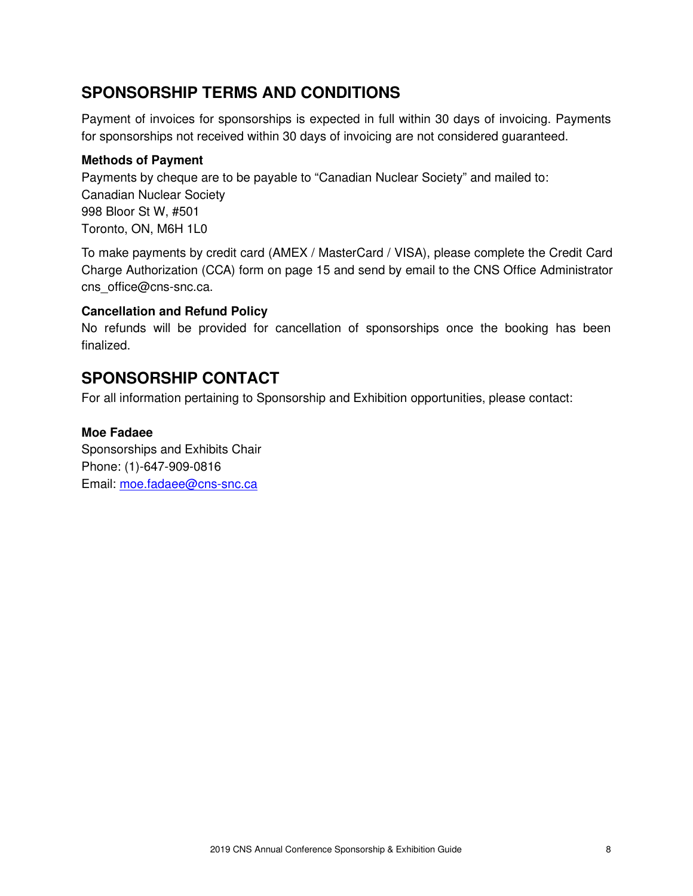### SPONSORSHIP TERMS AND CONDITIONS

Payment of invoices for sponsorships is expected in full within 30 days of invoicing. Payments for sponsorships not received within 30 days of invoicing are not considered guaranteed.

### Methods of Payment

Payments by cheque are to be payable to "Canadian Nuclear Society" and mailed to: Canadian Nuclear Society 998 Bloor St W, #501 Toronto, ON, M6H 1L0

To make payments by credit card (AMEX / MasterCard / VISA), please complete the Credit Card Charge Authorization (CCA) form on page 15 and send by email to the CNS Office Administrator [cns\\_office@cns-snc.ca.](mailto:cns_office@cns-snc.ca)

### Cancellation and Refund Policy

No refunds will be provided for cancellation of sponsorships once the booking has been finalized.

### SPONSORSHIP CONTACT

For all information pertaining to Sponsorship and Exhibition opportunities, please contact:

### Moe Fadaee

Sponsorships and Exhibits Chair Phone: (1)-647-909-0816 Email: [moe.fadaee@cns-snc.ca](mailto:moe.fadaee@cns-snc.ca)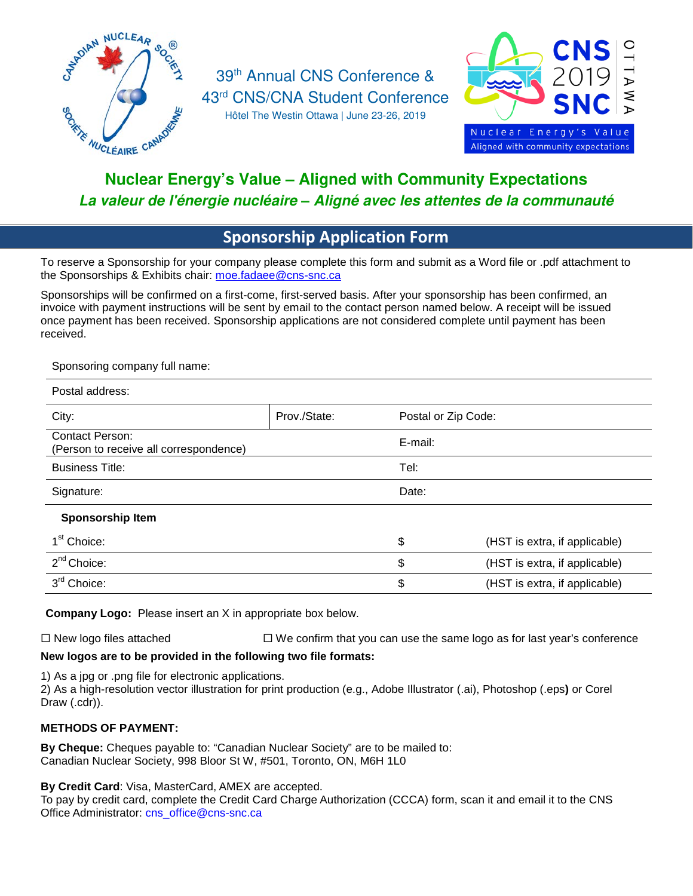

# Nuclear Energy's Value – Aligned with Community Expectations *La valeur de l'énergie nucléaire* – *Aligné avec les attentes de la communauté*

# **Sponsorship Application Form**

To reserve a Sponsorship for your company please complete this form and submit as a Word file or .pdf attachment to the Sponsorships & Exhibits chair: [moe.fadaee@cns-snc.ca](mailto:moe.fadaee@cns-snc.ca)

Sponsorships will be confirmed on a first-come, first-served basis. After your sponsorship has been confirmed, an invoice with payment instructions will be sent by email to the contact person named below. A receipt will be issued once payment has been received. Sponsorship applications are not considered complete until payment has been received.

Sponsoring company full name:

| Postal address:                                                  |              |                     |                               |
|------------------------------------------------------------------|--------------|---------------------|-------------------------------|
| City:                                                            | Prov./State: | Postal or Zip Code: |                               |
| <b>Contact Person:</b><br>(Person to receive all correspondence) |              | E-mail:             |                               |
| <b>Business Title:</b>                                           |              | Tel:                |                               |
| Signature:                                                       |              | Date:               |                               |
| Sponsorship Item                                                 |              |                     |                               |
| 1 <sup>st</sup> Choice:                                          |              | \$                  | (HST is extra, if applicable) |
| 2 <sup>nd</sup> Choice:                                          |              | \$                  | (HST is extra, if applicable) |
| 3 <sup>rd</sup> Choice:                                          |              | \$                  | (HST is extra, if applicable) |

**Company Logo:** Please insert an X in appropriate box below.

 $\Box$  New logo files attached  $\Box$  We confirm that you can use the same logo as for last year's conference

### **New logos are to be provided in the following two file formats:**

1) As a jpg or .png file for electronic applications.

2) As a high-resolution vector illustration for print production (e.g., Adobe Illustrator (.ai), Photoshop (.eps**)** or Corel Draw (.cdr)).

#### **METHODS OF PAYMENT:**

**By Cheque:** Cheques payable to: "Canadian Nuclear Society" are to be mailed to: Canadian Nuclear Society, 998 Bloor St W, #501, Toronto, ON, M6H 1L0

**By Credit Card**: Visa, MasterCard, AMEX are accepted.

To pay by credit card, complete the Credit Card Charge Authorization (CCCA) form, scan it and email it to the CNS Office Administrator: [cns\\_office@cns-snc.ca](mailto:cns_office@cns-snc.ca)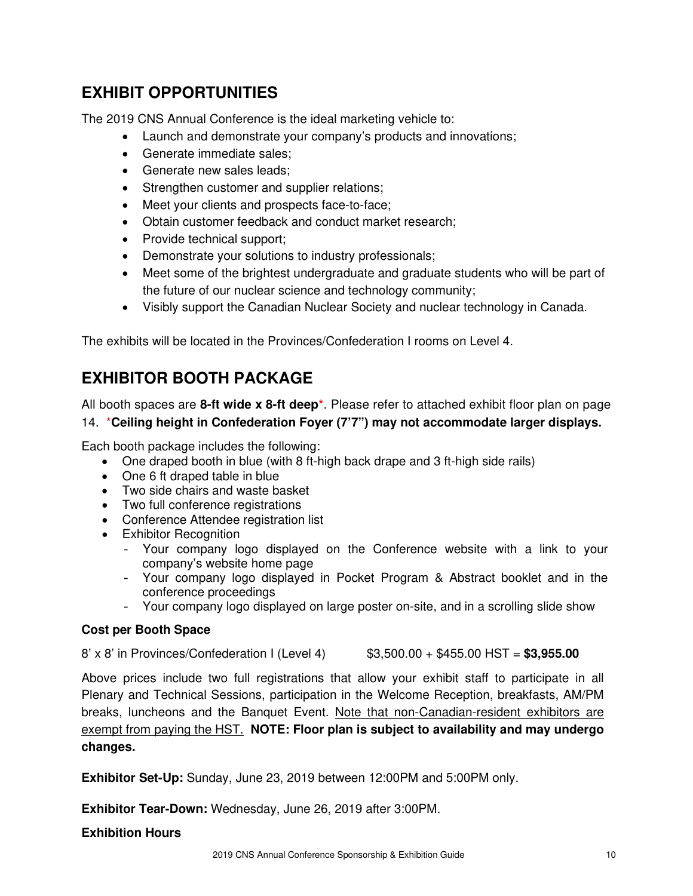# EXHIBIT OPPORTUNITIES

The 2019 CNS Annual Conference is the ideal marketing vehicle to:

- Launch and demonstrate your company's products and innovations;
- Generate immediate sales;
- Generate new sales leads:
- Strengthen customer and supplier relations;
- Meet your clients and prospects face-to-face;
- Obtain customer feedback and conduct market research;
- Provide technical support;
- Demonstrate your solutions to industry professionals;
- Meet some of the brightest undergraduate and graduate students who will be part of the future of our nuclear science and technology community;
- Visibly support the Canadian Nuclear Society and nuclear technology in Canada.

The exhibits will be located in the Provinces/Confederation I rooms on Level 4.

# EXHIBITOR BOOTH PACKAGE

All booth spaces are 8-ft wide x 8-ft deep<sup>\*</sup>. Please refer to attached exhibit floor plan on page 14. \*Ceiling height in Confederation Foyer (7'7") may not accommodate larger displays.

Each booth package includes the following:

- One draped booth in blue (with 8 ft-high back drape and 3 ft-high side rails)
- One 6 ft draped table in blue
- Two side chairs and waste basket
- Two full conference registrations
- Conference Attendee registration list
- Exhibitor Recognition
	- Your company logo displayed on the Conference website with a link to your company's website home page
	- Your company logo displayed in Pocket Program & Abstract booklet and in the conference proceedings
	- Your company logo displayed on large poster on-site, and in a scrolling slide show

### Cost per Booth Space

8' x 8' in Provinces/Confederation I (Level 4)  $$3,500.00 + $455.00$  HST =  $$3,955.00$ 

Above prices include two full registrations that allow your exhibit staff to participate in all Plenary and Technical Sessions, participation in the Welcome Reception, breakfasts, AM/PM breaks, luncheons and the Banquet Event. Note that non-Canadian-resident exhibitors are exempt from paying the HST. **NOTE: Floor plan is subject to availability and may undergo** changes.

Exhibitor Set-Up: Sunday, June 23, 2019 between 12:00PM and 5:00PM only.

Exhibitor Tear-Down: Wednesday, June 26, 2019 after 3:00PM.

#### Exhibition Hours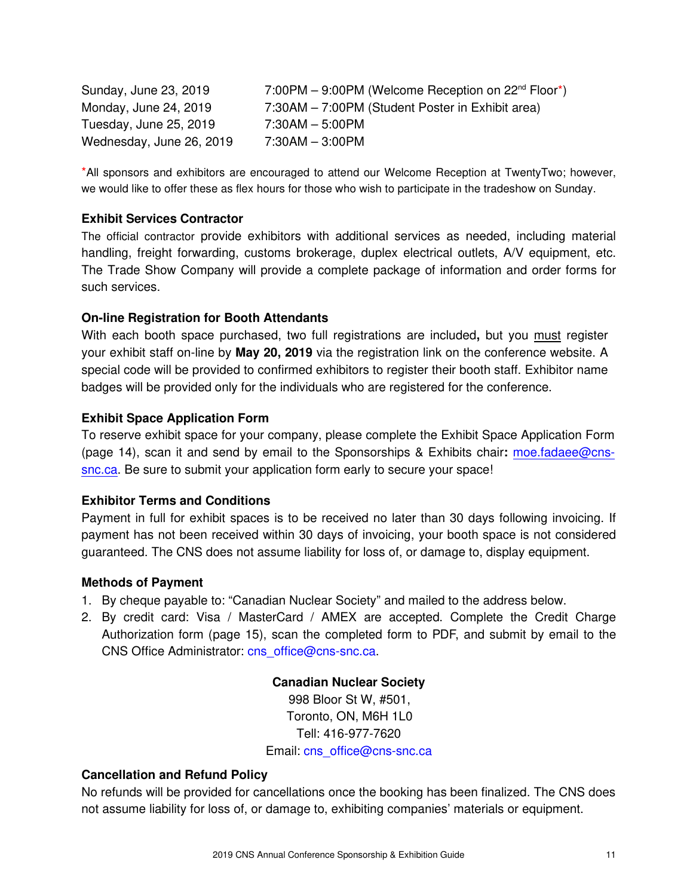Sunday, June 23, 2019 7:00PM – 9:00PM (Welcome Reception on  $22^{nd}$  Floor\*) Monday, June 24, 2019 7:30AM – 7:00PM (Student Poster in Exhibit area) Tuesday, June 25, 2019 7:30AM – 5:00PM Wednesday, June 26, 2019 7:30AM – 3:00PM

\*All sponsors and exhibitors are encouraged to attend our Welcome Reception at TwentyTwo; however, we would like to offer these as flex hours for those who wish to participate in the tradeshow on Sunday.

#### Exhibit Services Contractor

The official contractor provide exhibitors with additional services as needed, including material handling, freight forwarding, customs brokerage, duplex electrical outlets, A/V equipment, etc. The Trade Show Company will provide a complete package of information and order forms for such services.

#### On-line Registration for Booth Attendants

With each booth space purchased, two full registrations are included, but you must register your exhibit staff on-line by **May 20, 2019** via the registration link on the conference website. A special code will be provided to confirmed exhibitors to register their booth staff. Exhibitor name badges will be provided only for the individuals who are registered for the conference.

#### Exhibit Space Application Form

To reserve exhibit space for your company, please complete the Exhibit Space Application Form (page 14), scan it and send by email to the Sponsorships & Exhibits chair: [moe.fadaee@cns](mailto:moe.fadaee@cns-snc.ca)[snc.ca.](mailto:moe.fadaee@cns-snc.ca) Be sure to submit your application form early to secure your space!

#### Exhibitor Terms and Conditions

Payment in full for exhibit spaces is to be received no later than 30 days following invoicing. If payment has not been received within 30 days of invoicing, your booth space is not considered guaranteed. The CNS does not assume liability for loss of, or damage to, display equipment.

#### Methods of Payment

- 1. By cheque payable to: "Canadian Nuclear Society" and mailed to the address below.
- 2. By credit card: Visa / MasterCard / AMEX are accepted. Complete the Credit Charge Authorization form (page 15), scan the completed form to PDF, and submit by email to the CNS Office Administrator: [cns\\_office@cns-snc.ca.](mailto:cns_office@cns-snc.ca)

Canadian Nuclear Society 998 Bloor St W, #501, Toronto, ON, M6H 1L0 Tell: 416-977-7620 Email: [cns\\_office@cns-snc.ca](mailto:cns_office@cns-snc.ca)

#### Cancellation and Refund Policy

No refunds will be provided for cancellations once the booking has been finalized. The CNS does not assume liability for loss of, or damage to, exhibiting companies' materials or equipment.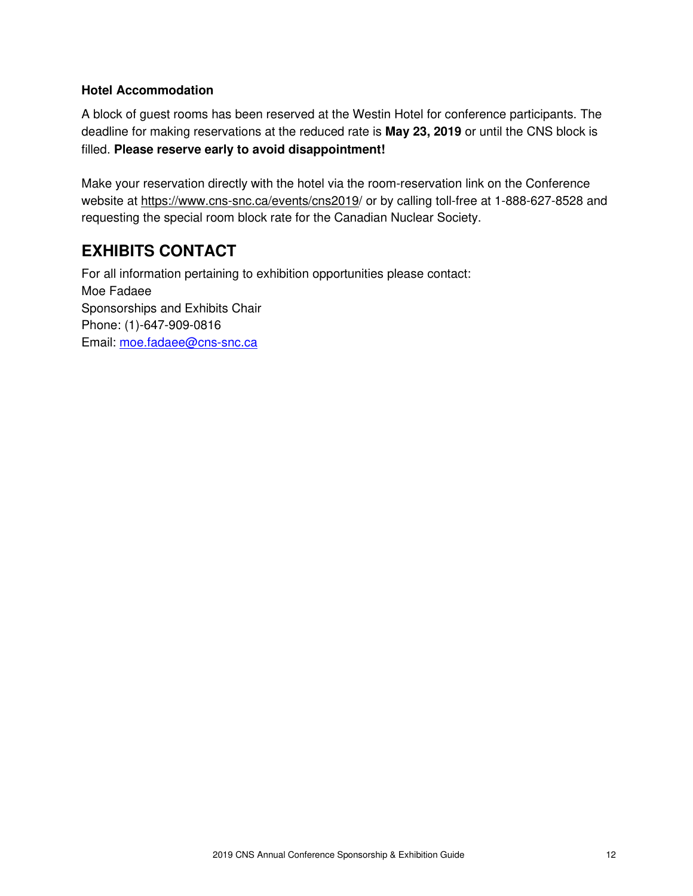### Hotel Accommodation

A block of guest rooms has been reserved at the Westin Hotel for conference participants. The deadline for making reservations at the reduced rate is May 23, 2019 or until the CNS block is filled. Please reserve early to avoid disappointment!

Make your reservation directly with the hotel via the room-reservation link on the Conference website at https://www.cns-snc.ca/events/cns2019/ or by calling toll-free at 1-888-627-8528 and requesting the special room block rate for the Canadian Nuclear Society.

# EXHIBITS CONTACT

For all information pertaining to exhibition opportunities please contact: Moe Fadaee Sponsorships and Exhibits Chair Phone: (1)-647-909-0816 Email: [moe.fadaee@cns-snc.ca](mailto:moe.fadaee@cns-snc.ca)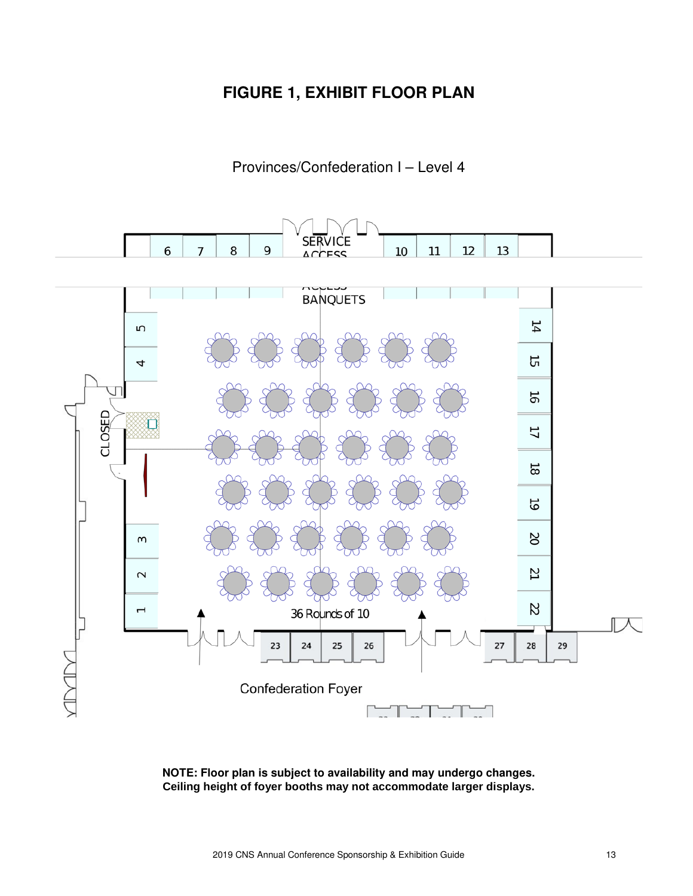### FIGURE 1, EXHIBIT FLOOR PLAN

### Provinces/Confederation I – Level 4



NOTE: Floor plan is subject to availability and may undergo changes. **Ceiling height of foyer booths may not accommodate larger displays.**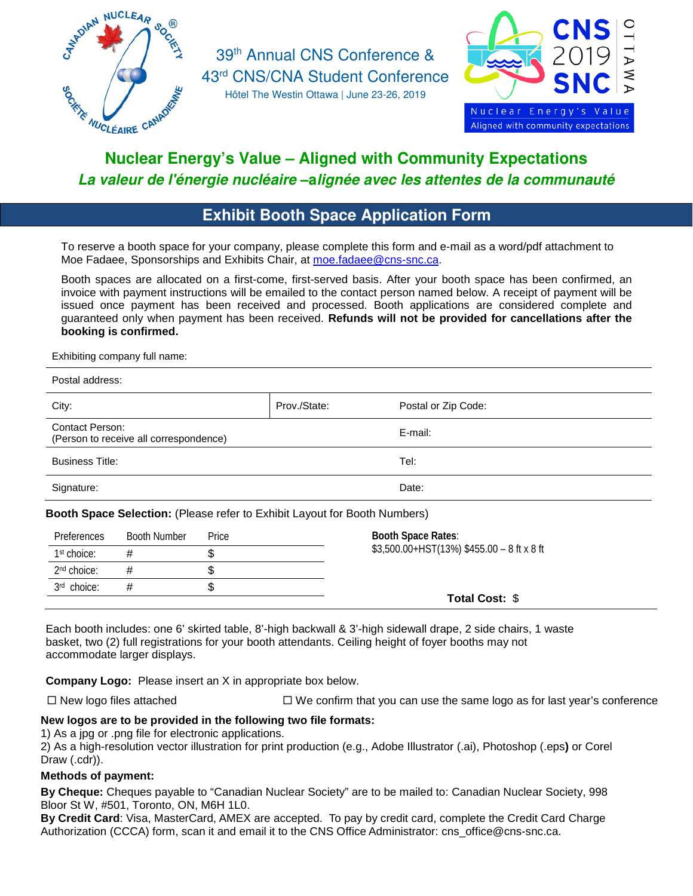

39th Annual CNS Conference & 43rd CNS/CNA Student Conference

Hôtel The Westin Ottawa | June 23-26, 2019



# Nuclear Energy's Value – Aligned with Community Expectations *La valeur de l'énergie nucléaire* –a*lignée avec les attentes de la communauté*

### Exhibit Booth Space Application Form

To reserve a booth space for your company, please complete this form and e-mail as a word/pdf attachment to Moe Fadaee, Sponsorships and Exhibits Chair, at [moe.fadaee@cns-snc.ca.](mailto:moe.fadaee@cns-snc.ca)

Booth spaces are allocated on a first-come, first-served basis. After your booth space has been confirmed, an invoice with payment instructions will be emailed to the contact person named below. A receipt of payment will be issued once payment has been received and processed. Booth applications are considered complete and guaranteed only when payment has been received. **Refunds will not be provided for cancellations after the booking is confirmed.**

Exhibiting company full name:

| Postal address:                                                           |              |                     |
|---------------------------------------------------------------------------|--------------|---------------------|
| City:                                                                     | Prov./State: | Postal or Zip Code: |
| <b>Contact Person:</b><br>(Person to receive all correspondence)          |              | E-mail:             |
| <b>Business Title:</b>                                                    |              | Tel:                |
| Signature:                                                                |              | Date:               |
| Booth Space Selection: (Please refer to Exhibit Layout for Booth Numbers) |              |                     |
|                                                                           |              | ______              |

| <b>Preferences</b>      | <b>Booth Number</b> | <b>Price</b> | <b>Booth Space Rates:</b>                       |
|-------------------------|---------------------|--------------|-------------------------------------------------|
| 1 <sup>st</sup> choice: |                     |              | $$3,500.00+HST(13%) $455.00 - 8 ft \times 8 ft$ |
| 2 <sup>nd</sup> choice: | #                   |              |                                                 |
| 3rd choice:             | #                   |              |                                                 |
|                         |                     |              | <b>Total Cost: \$</b>                           |

Each booth includes: one 6' skirted table, 8'-high backwall & 3'-high sidewall drape, 2 side chairs, 1 waste basket, two (2) full registrations for your booth attendants. Ceiling height of foyer booths may not accommodate larger displays.

**Company Logo:** Please insert an X in appropriate box below.

 $\Box$  New logo files attached  $\Box$  We confirm that you can use the same logo as for last year's conference

#### **New logos are to be provided in the following two file formats:**

1) As a jpg or .png file for electronic applications.

2) As a high-resolution vector illustration for print production (e.g., Adobe Illustrator (.ai), Photoshop (.eps**)** or Corel Draw (.cdr)).

#### **Methods of payment:**

**By Cheque:** Cheques payable to "Canadian Nuclear Society" are to be mailed to: Canadian Nuclear Society, 998 Bloor St W, #501, Toronto, ON, M6H 1L0.

**By Credit Card**: Visa, MasterCard, AMEX are accepted. To pay by credit card, complete the Credit Card Charge Authorization (CCCA) form, scan it and email it to the CNS Office Administrator: [cns\\_office@cns-snc.ca.](mailto:cns_office@cns-snc.ca)